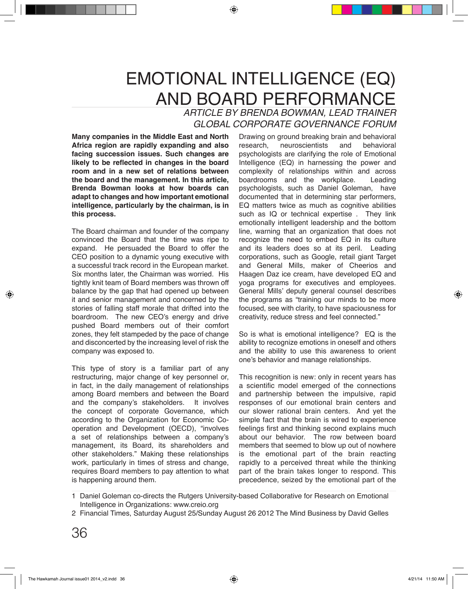## EMOTIONAL INTELLIGENCE (EQ) AND BOARD PERFORMANCE

*ARTICLE BY BRENDA BOWMAN, LEAD TRAINER GLOBAL CORPORATE GOVERNANCE FORUM*

**Many companies in the Middle East and North Africa region are rapidly expanding and also facing succession issues. Such changes are likely to be reflected in changes in the board room and in a new set of relations between the board and the management. In this article, Brenda Bowman looks at how boards can adapt to changes and how important emotional intelligence, particularly by the chairman, is in this process.**

The Board chairman and founder of the company convinced the Board that the time was ripe to expand. He persuaded the Board to offer the CEO position to a dynamic young executive with a successful track record in the European market. Six months later, the Chairman was worried. His tightly knit team of Board members was thrown off balance by the gap that had opened up between it and senior management and concerned by the stories of falling staff morale that drifted into the boardroom. The new CEO's energy and drive pushed Board members out of their comfort zones, they felt stampeded by the pace of change and disconcerted by the increasing level of risk the company was exposed to.

This type of story is a familiar part of any restructuring, major change of key personnel or, in fact, in the daily management of relationships among Board members and between the Board<br>and the company's stakeholders. It involves and the company's stakeholders. the concept of corporate Governance, which according to the Organization for Economic Cooperation and Development (OECD), "involves a set of relationships between a company's management, its Board, its shareholders and other stakeholders." Making these relationships work, particularly in times of stress and change, requires Board members to pay attention to what is happening around them.

Drawing on ground breaking brain and behavioral<br>research, neuroscientists and behavioral neuroscientists psychologists are clarifying the role of Emotional Intelligence (EQ) in harnessing the power and complexity of relationships within and across boardrooms and the workplace. Leading psychologists, such as Daniel Goleman, have documented that in determining star performers, EQ matters twice as much as cognitive abilities such as IQ or technical expertise. They link emotionally intelligent leadership and the bottom line, warning that an organization that does not recognize the need to embed EQ in its culture and its leaders does so at its peril. Leading corporations, such as Google, retail giant Target and General Mills, maker of Cheerios and Haagen Daz ice cream, have developed EQ and yoga programs for executives and employees. General Mills' deputy general counsel describes the programs as "training our minds to be more focused, see with clarity, to have spaciousness for creativity, reduce stress and feel connected."

So is what is emotional intelligence? EQ is the ability to recognize emotions in oneself and others and the ability to use this awareness to orient one's behavior and manage relationships.

This recognition is new: only in recent years has a scientific model emerged of the connections and partnership between the impulsive, rapid responses of our emotional brain centers and our slower rational brain centers. And yet the simple fact that the brain is wired to experience feelings first and thinking second explains much about our behavior. The row between board members that seemed to blow up out of nowhere is the emotional part of the brain reacting rapidly to a perceived threat while the thinking part of the brain takes longer to respond. This precedence, seized by the emotional part of the

<sup>1</sup> Daniel Goleman co-directs the Rutgers University-based Collaborative for Research on Emotional Intelligence in Organizations: www.creio.org

Financial Times, Saturday August 25/Sunday August 26 2012 The Mind Business by David Gelles 2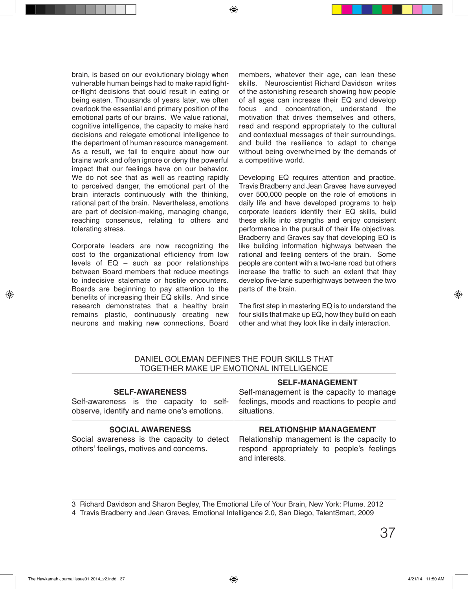brain, is based on our evolutionary biology when vulnerable human beings had to make rapid fightor-flight decisions that could result in eating or being eaten. Thousands of years later, we often overlook the essential and primary position of the emotional parts of our brains. We value rational, cognitive intelligence, the capacity to make hard decisions and relegate emotional intelligence to the department of human resource management. As a result, we fail to enquire about how our brains work and often ignore or deny the powerful impact that our feelings have on our behavior. We do not see that as well as reacting rapidly to perceived danger, the emotional part of the brain interacts continuously with the thinking, rational part of the brain. Nevertheless, emotions are part of decision-making, managing change, reaching consensus, relating to others and tolerating stress.

Corporate leaders are now recognizing the cost to the organizational efficiency from low levels of EQ – such as poor relationships between Board members that reduce meetings to indecisive stalemate or hostile encounters. Boards are beginning to pay attention to the benefits of increasing their EQ skills. And since research demonstrates that a healthy brain remains plastic, continuously creating new neurons and making new connections, Board members, whatever their age, can lean these skills. Neuroscientist Richard Davidson writes of the astonishing research showing how people of all ages can increase their EQ and develop focus and concentration, understand the motivation that drives themselves and others, read and respond appropriately to the cultural and contextual messages of their surroundings, and build the resilience to adapt to change without being overwhelmed by the demands of a competitive world.

Developing EQ requires attention and practice. Travis Bradberry and Jean Graves have surveyed over 500,000 people on the role of emotions in daily life and have developed programs to help corporate leaders identify their EQ skills, build these skills into strengths and enjoy consistent performance in the pursuit of their life objectives. Bradberry and Graves say that developing EQ is like building information highways between the rational and feeling centers of the brain. Some people are content with a two-lane road but others increase the traffic to such an extent that they develop five-lane superhighways between the two parts of the brain.

The first step in mastering EQ is to understand the four skills that make up EQ, how they build on each other and what they look like in daily interaction.

| DANIEL GOLEMAN DEFINES THE FOUR SKILLS THAT<br>TOGETHER MAKE UP EMOTIONAL INTELLIGENCE                           |                                                                                                                                              |
|------------------------------------------------------------------------------------------------------------------|----------------------------------------------------------------------------------------------------------------------------------------------|
| <b>SELF-AWARENESS</b><br>Self-awareness is the capacity to self-<br>observe, identify and name one's emotions.   | <b>SELF-MANAGEMENT</b><br>Self-management is the capacity to manage<br>feelings, moods and reactions to people and<br>situations.            |
| <b>SOCIAL AWARENESS</b><br>Social awareness is the capacity to detect<br>others' feelings, motives and concerns. | <b>RELATIONSHIP MANAGEMENT</b><br>Relationship management is the capacity to<br>respond appropriately to people's feelings<br>and interests. |

## 3 Richard Davidson and Sharon Begley, The Emotional Life of Your Brain, New York: Plume. 2012

Travis Bradberry and Jean Graves, Emotional Intelligence 2.0, San Diego, TalentSmart, 2009 4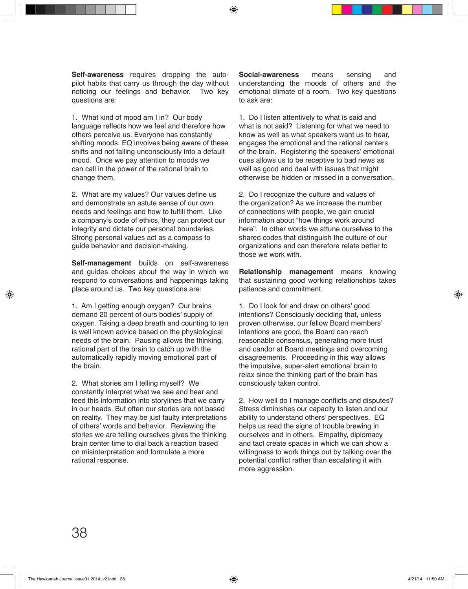**Self-awareness** requires dropping the autopilot habits that carry us through the day without noticing our feelings and behavior. Two key questions are:

1. What kind of mood am I in? Our body language reflects how we feel and therefore how others perceive us. Everyone has constantly shifting moods. EQ involves being aware of these shifts and not falling unconsciously into a default mood. Once we pay attention to moods we can call in the power of the rational brain to change them.

2. What are my values? Our values define us and demonstrate an astute sense of our own needs and feelings and how to fulfill them. Like a company's code of ethics, they can protect our integrity and dictate our personal boundaries. Strong personal values act as a compass to guide behavior and decision-making.

**Self-management** builds on self-awareness and guides choices about the way in which we respond to conversations and happenings taking place around us. Two key questions are:

1. Am I getting enough oxygen? Our brains demand 20 percent of ours bodies' supply of oxygen. Taking a deep breath and counting to ten is well known advice based on the physiological needs of the brain. Pausing allows the thinking, rational part of the brain to catch up with the automatically rapidly moving emotional part of the brain.

2. What stories am I telling myself? We constantly interpret what we see and hear and feed this information into storylines that we carry in our heads. But often our stories are not based on reality. They may be just faulty interpretations of others' words and behavior. Reviewing the stories we are telling ourselves gives the thinking brain center time to dial back a reaction based on misinterpretation and formulate a more rational response.

**Social-awareness** means sensing and understanding the moods of others and the emotional climate of a room. Two key questions to ask are:

1. Do I listen attentively to what is said and what is not said? Listening for what we need to know as well as what speakers want us to hear, engages the emotional and the rational centers of the brain. Registering the speakers' emotional cues allows us to be receptive to bad news as well as good and deal with issues that might otherwise be hidden or missed in a conversation.

2. Do I recognize the culture and values of the organization? As we increase the number of connections with people, we gain crucial information about "how things work around here". In other words we attune ourselves to the shared codes that distinguish the culture of our organizations and can therefore relate better to those we work with.

**Relationship management** means knowing that sustaining good working relationships takes patience and commitment.

1. Do I look for and draw on others' good intentions? Consciously deciding that, unless proven otherwise, our fellow Board members' intentions are good, the Board can reach reasonable consensus, generating more trust and candor at Board meetings and overcoming disagreements. Proceeding in this way allows the impulsive, super-alert emotional brain to relax since the thinking part of the brain has consciously taken control.

2. How well do I manage conflicts and disputes? Stress diminishes our capacity to listen and our ability to understand others' perspectives. EQ helps us read the signs of trouble brewing in ourselves and in others. Empathy, diplomacy and tact create spaces in which we can show a willingness to work things out by talking over the potential conflict rather than escalating it with more aggression.